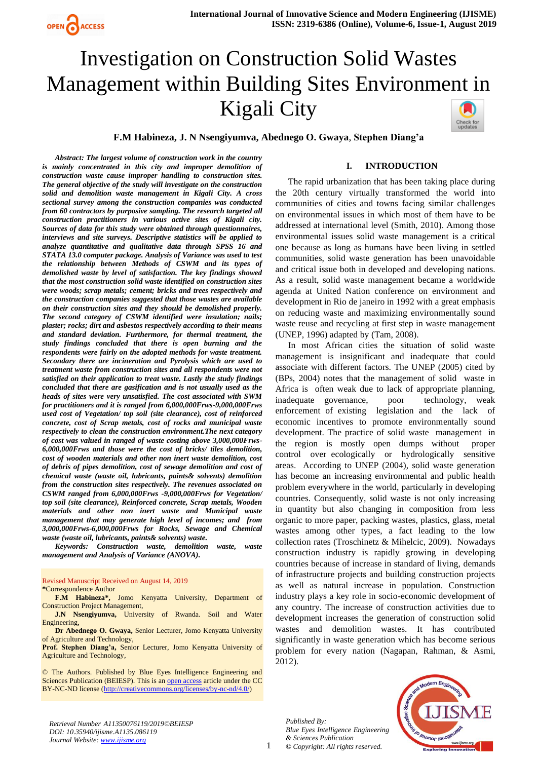# Investigation on Construction Solid Wastes Management within Building Sites Environment in Kigali City Check for<br>updates



*Abstract: The largest volume of construction work in the country is mainly concentrated in this city and improper demolition of construction waste cause improper handling to construction sites. The general objective of the study will investigate on the construction solid and demolition waste management in Kigali City. A cross sectional survey among the construction companies was conducted from 60 contractors by purposive sampling. The research targeted all construction practitioners in various active sites of Kigali city. Sources of data for this study were obtained through questionnaires, interviews and site surveys. Descriptive statistics will be applied to analyze quantitative and qualitative data through SPSS 16 and STATA 13.0 computer package. Analysis of Variance was used to test the relationship between Methods of CSWM and its types of demolished waste by level of satisfaction. The key findings showed that the most construction solid waste identified on construction sites were woods; scrap metals; cement; bricks and trees respectively and the construction companies suggested that those wastes are available on their construction sites and they should be demolished properly. The second category of CSWM identified were insulation; nails; plaster; rocks; dirt and asbestos respectively according to their means and standard deviation. Furthermore, for thermal treatment, the study findings concluded that there is open burning and the respondents were fairly on the adopted methods for waste treatment. Secondary there are incineration and Pyrolysis which are used to treatment waste from construction sites and all respondents were not satisfied on their application to treat waste. Lastly the study findings concluded that there are gasification and is not usually used as the heads of sites were very unsatisfied. The cost associated with SWM for practitioners and it is ranged from 6,000,000Frws-9,000,000Frws used cost of Vegetation/ top soil (site clearance), cost of reinforced concrete, cost of Scrap metals, cost of rocks and municipal waste respectively to clean the construction environment.The next category of cost was valued in ranged of waste costing above 3,000,000Frws-6,000,000Frws and those were the cost of bricks/ tiles demolition, cost of wooden materials and other non inert waste demolition, cost of debris of pipes demolition, cost of sewage demolition and cost of chemical waste (waste oil, lubricants, paints& solvents) demolition from the construction sites respectively. The revenues associated on CSWM ranged from 6,000,000Frws -9,000,000Frws for Vegetation/ top soil (site clearance), Reinforced concrete, Scrap metals, Wooden materials and other non inert waste and Municipal waste management that may generate high level of incomes; and from 3,000,000Frws-6,000,000Frws for Rocks, Sewage and Chemical waste (waste oil, lubricants, paints& solvents) waste.* 

*Keywords: Construction waste, demolition waste, waste management and Analysis of Variance (ANOVA).*

Revised Manuscript Received on August 14, 2019

**\***Correspondence Author

**F.M Habineza\*,** Jomo Kenyatta University, Department of Construction Project Management,

**J.N Nsengiyumva,** University of Rwanda. Soil and Water Engineering,

**Dr Abednego O. Gwaya,** Senior Lecturer, Jomo Kenyatta University of Agriculture and Technology,

**Prof. Stephen Diang'a,** Senior Lecturer, Jomo Kenyatta University of Agriculture and Technology,

© The Authors. Published by Blue Eyes Intelligence Engineering and Sciences Publication (BEIESP). This is a[n open access](https://www.openaccess.nl/en/open-publications) article under the CC BY-NC-ND license [\(http://creativecommons.org/licenses/by-nc-nd/4.0/\)](http://creativecommons.org/licenses/by-nc-nd/4.0/)

The rapid urbanization that has been taking place during the 20th century virtually transformed the world into communities of cities and towns facing similar challenges on environmental issues in which most of them have to be addressed at international level (Smith, 2010). Among those environmental issues solid waste management is a critical one because as long as humans have been living in settled communities, solid waste generation has been unavoidable and critical issue both in developed and developing nations. As a result, solid waste management became a worldwide agenda at United Nation conference on environment and development in Rio de janeiro in 1992 with a great emphasis on reducing waste and maximizing environmentally sound waste reuse and recycling at first step in waste management (UNEP, 1996) adapted by [\(Tam, 2008\)](#page-9-0).

**I. INTRODUCTION**

In most African cities the situation of solid waste management is insignificant and inadequate that could associate with different factors. The UNEP (2005) cited by [\(BPs, 2004\)](#page-8-0) notes that the management of solid waste in Africa is often weak due to lack of appropriate planning, inadequate governance, poor technology, weak enforcement of existing legislation and the lack of economic incentives to promote environmentally sound development. The practice of solid waste management in the region is mostly open dumps without proper control over ecologically or hydrologically sensitive areas. According to UNEP (2004), solid waste generation has become an increasing environmental and public health problem everywhere in the world, particularly in developing countries. Consequently, solid waste is not only increasing in quantity but also changing in composition from less organic to more paper, packing wastes, plastics, glass, metal wastes among other types, a fact leading to the low collection rates [\(Troschinetz & Mihelcic, 2009\)](#page-9-1). Nowadays construction industry is rapidly growing in developing countries because of increase in standard of living, demands of infrastructure projects and building construction projects as well as natural increase in population. Construction industry plays a key role in socio-economic development of any country. The increase of construction activities due to development increases the generation of construction solid wastes and demolition wastes. It has contributed significantly in waste generation which has become serious problem for every nation [\(Nagapan, Rahman, & Asmi,](#page-9-2)  [2012\)](#page-9-2).

*Published By: Blue Eyes Intelligence Engineering & Sciences Publication © Copyright: All rights reserved.*

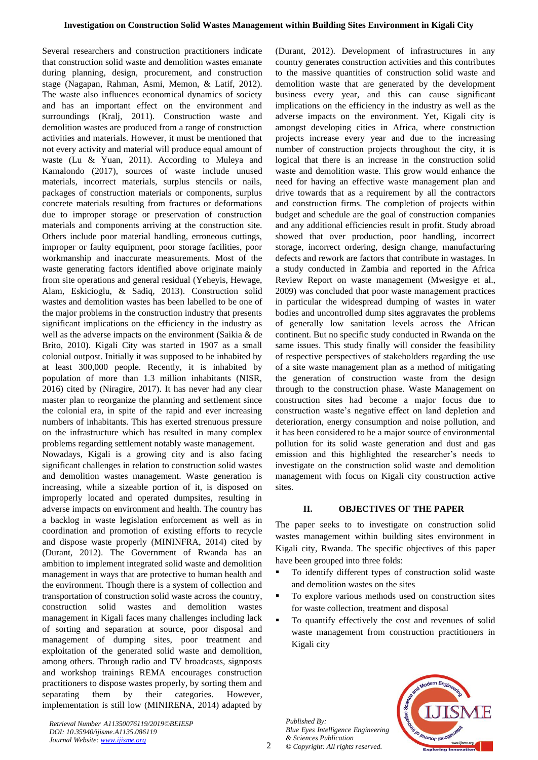Several researchers and construction practitioners indicate that construction solid waste and demolition wastes emanate during planning, design, procurement, and construction stage [\(Nagapan, Rahman, Asmi, Memon, & Latif, 2012\)](#page-9-3). The waste also influences economical dynamics of society and has an important effect on the environment and surroundings [\(Kralj, 2011\)](#page-8-1). Construction waste and demolition wastes are produced from a range of construction activities and materials. However, it must be mentioned that not every activity and material will produce equal amount of waste [\(Lu & Yuan, 2011\)](#page-8-2). According to [Muleya and](#page-8-3)  [Kamalondo \(2017\)](#page-8-3), sources of waste include unused materials, incorrect materials, surplus stencils or nails, packages of construction materials or components, surplus concrete materials resulting from fractures or deformations due to improper storage or preservation of construction materials and components arriving at the construction site. Others include poor material handling, erroneous cuttings, improper or faulty equipment, poor storage facilities, poor workmanship and inaccurate measurements. Most of the waste generating factors identified above originate mainly from site operations and general residual [\(Yeheyis, Hewage,](#page-9-4)  [Alam, Eskicioglu, & Sadiq, 2013\)](#page-9-4). Construction solid wastes and demolition wastes has been labelled to be one of the major problems in the construction industry that presents significant implications on the efficiency in the industry as well as the adverse impacts on the environment [\(Saikia & de](#page-9-5)  [Brito, 2010\)](#page-9-5). Kigali City was started in 1907 as a small colonial outpost. Initially it was supposed to be inhabited by at least 300,000 people. Recently, it is inhabited by population of more than 1.3 million inhabitants (NISR, 2016) cited by [\(Niragire, 2017\)](#page-9-6). It has never had any clear master plan to reorganize the planning and settlement since the colonial era, in spite of the rapid and ever increasing numbers of inhabitants. This has exerted strenuous pressure on the infrastructure which has resulted in many complex problems regarding settlement notably waste management.

Nowadays, Kigali is a growing city and is also facing significant challenges in relation to construction solid wastes and demolition wastes management. Waste generation is increasing, while a sizeable portion of it, is disposed on improperly located and operated dumpsites, resulting in adverse impacts on environment and health. The country has a backlog in waste legislation enforcement as well as in coordination and promotion of existing efforts to recycle and dispose waste properly (MININFRA, 2014) cited by [\(Durant, 2012\)](#page-8-4). The Government of Rwanda has an ambition to implement integrated solid waste and demolition management in ways that are protective to human health and the environment. Though there is a system of collection and transportation of construction solid waste across the country, construction solid wastes and demolition wastes management in Kigali faces many challenges including lack of sorting and separation at source, poor disposal and management of dumping sites, poor treatment and exploitation of the generated solid waste and demolition, among others. Through radio and TV broadcasts, signposts and workshop trainings REMA encourages construction practitioners to dispose wastes properly, by sorting them and separating them by their categories. However, implementation is still low (MINIRENA, 2014) adapted by [\(Durant, 2012\)](#page-8-4). Development of infrastructures in any country generates construction activities and this contributes to the massive quantities of construction solid waste and demolition waste that are generated by the development business every year, and this can cause significant implications on the efficiency in the industry as well as the adverse impacts on the environment. Yet, Kigali city is amongst developing cities in Africa, where construction projects increase every year and due to the increasing number of construction projects throughout the city, it is logical that there is an increase in the construction solid waste and demolition waste. This grow would enhance the need for having an effective waste management plan and drive towards that as a requirement by all the contractors and construction firms. The completion of projects within budget and schedule are the goal of construction companies and any additional efficiencies result in profit. Study abroad showed that over production, poor handling, incorrect storage, incorrect ordering, design change, manufacturing defects and rework are factors that contribute in wastages. In a study conducted in Zambia and reported in the Africa Review Report on waste management [\(Mwesigye et al.,](#page-9-7)  [2009\)](#page-9-7) was concluded that poor waste management practices in particular the widespread dumping of wastes in water bodies and uncontrolled dump sites aggravates the problems of generally low sanitation levels across the African continent. But no specific study conducted in Rwanda on the same issues. This study finally will consider the feasibility of respective perspectives of stakeholders regarding the use of a site waste management plan as a method of mitigating the generation of construction waste from the design through to the construction phase. Waste Management on construction sites had become a major focus due to construction waste's negative effect on land depletion and deterioration, energy consumption and noise pollution, and it has been considered to be a major source of environmental pollution for its solid waste generation and dust and gas emission and this highlighted the researcher's needs to investigate on the construction solid waste and demolition management with focus on Kigali city construction active sites.

## **II. OBJECTIVES OF THE PAPER**

The paper seeks to to investigate on construction solid wastes management within building sites environment in Kigali city, Rwanda. The specific objectives of this paper have been grouped into three folds:

- To identify different types of construction solid waste and demolition wastes on the sites
- To explore various methods used on construction sites for waste collection, treatment and disposal
- To quantify effectively the cost and revenues of solid waste management from construction practitioners in Kigali city

*Published By: Blue Eyes Intelligence Engineering & Sciences Publication © Copyright: All rights reserved.*

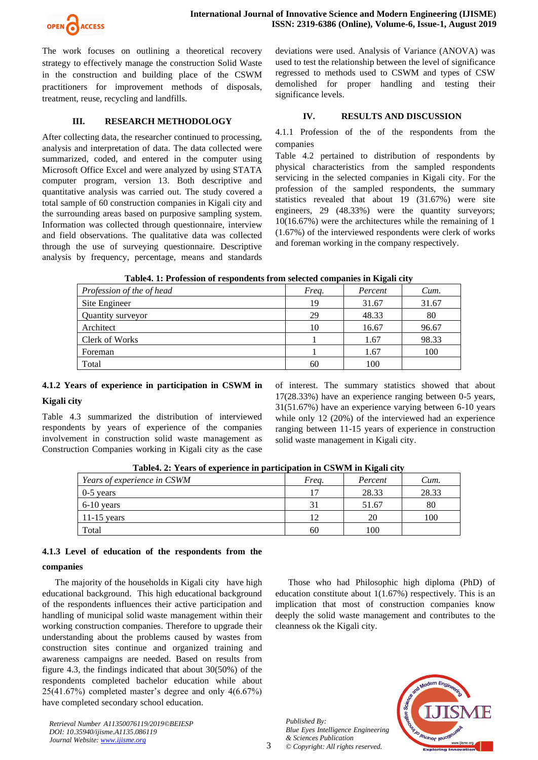

The work focuses on outlining a theoretical recovery strategy to effectively manage the construction Solid Waste in the construction and building place of the CSWM practitioners for improvement methods of disposals, treatment, reuse, recycling and landfills.

## **III. RESEARCH METHODOLOGY**

After collecting data, the researcher continued to processing, analysis and interpretation of data. The data collected were summarized, coded, and entered in the computer using Microsoft Office Excel and were analyzed by using STATA computer program, version 13. Both descriptive and quantitative analysis was carried out. The study covered a total sample of 60 construction companies in Kigali city and the surrounding areas based on purposive sampling system. Information was collected through questionnaire, interview and field observations. The qualitative data was collected through the use of surveying questionnaire. Descriptive analysis by frequency, percentage, means and standards deviations were used. Analysis of Variance (ANOVA) was used to test the relationship between the level of significance regressed to methods used to CSWM and types of CSW demolished for proper handling and testing their significance levels.

## **IV. RESULTS AND DISCUSSION**

4.1.1 Profession of the of the respondents from the companies

Table 4.2 pertained to distribution of respondents by physical characteristics from the sampled respondents servicing in the selected companies in Kigali city. For the profession of the sampled respondents, the summary statistics revealed that about 19 (31.67%) were site engineers, 29 (48.33%) were the quantity surveyors; 10(16.67%) were the architectures while the remaining of 1 (1.67%) of the interviewed respondents were clerk of works and foreman working in the company respectively.

| Table4. 1. I Foression of Fespondents II oni selected companies in Ixigan City |       |         |       |  |  |  |  |  |  |  |
|--------------------------------------------------------------------------------|-------|---------|-------|--|--|--|--|--|--|--|
| Profession of the of head                                                      | Freq. | Percent | Cum.  |  |  |  |  |  |  |  |
| Site Engineer                                                                  | 19    | 31.67   | 31.67 |  |  |  |  |  |  |  |
| Quantity surveyor                                                              | 29    | 48.33   | 80    |  |  |  |  |  |  |  |
| Architect                                                                      | 10    | 16.67   | 96.67 |  |  |  |  |  |  |  |
| <b>Clerk of Works</b>                                                          |       | 1.67    | 98.33 |  |  |  |  |  |  |  |
| Foreman                                                                        |       | 1.67    | 100   |  |  |  |  |  |  |  |
| Total                                                                          | 60    | 100     |       |  |  |  |  |  |  |  |

**Table4. 1: Profession of respondents from selected companies in Kigali city**

## **4.1.2 Years of experience in participation in CSWM in**

## **Kigali city**

Table 4.3 summarized the distribution of interviewed respondents by years of experience of the companies involvement in construction solid waste management as Construction Companies working in Kigali city as the case of interest. The summary statistics showed that about 17(28.33%) have an experience ranging between 0-5 years, 31(51.67%) have an experience varying between 6-10 years while only 12 (20%) of the interviewed had an experience ranging between 11-15 years of experience in construction solid waste management in Kigali city.

| Table4. 2: Years of experience in participation in CSWM in Kigali city |       |         |       |  |  |  |  |  |  |  |  |
|------------------------------------------------------------------------|-------|---------|-------|--|--|--|--|--|--|--|--|
| <i>Years of experience in CSWM</i>                                     | Frea. | Percent | Cum.  |  |  |  |  |  |  |  |  |
| $0-5$ vears                                                            | 17    | 28.33   | 28.33 |  |  |  |  |  |  |  |  |
| $6-10$ years                                                           | 31    | 51.67   | 80    |  |  |  |  |  |  |  |  |
| 11-15 years                                                            | 12    | 20      | 100   |  |  |  |  |  |  |  |  |
| Total                                                                  | 60    | 100     |       |  |  |  |  |  |  |  |  |

**Table4. 2: Years of experience in participation in CSWM in Kigali city**

## **4.1.3 Level of education of the respondents from the**

## **companies**

The majority of the households in Kigali city have high educational background. This high educational background of the respondents influences their active participation and handling of municipal solid waste management within their working construction companies. Therefore to upgrade their understanding about the problems caused by wastes from construction sites continue and organized training and awareness campaigns are needed. Based on results from figure 4.3, the findings indicated that about 30(50%) of the respondents completed bachelor education while about 25(41.67%) completed master's degree and only 4(6.67%) have completed secondary school education.

*Retrieval Number A11350076119/2019©BEIESP DOI: 10.35940/ijisme.A1135.086119 Journal Website[: www.ijisme.org](http://www.ijisme.org/)*

Those who had Philosophic high diploma (PhD) of education constitute about 1(1.67%) respectively. This is an implication that most of construction companies know deeply the solid waste management and contributes to the cleanness ok the Kigali city.

*Published By: Blue Eyes Intelligence Engineering & Sciences Publication © Copyright: All rights reserved.*



3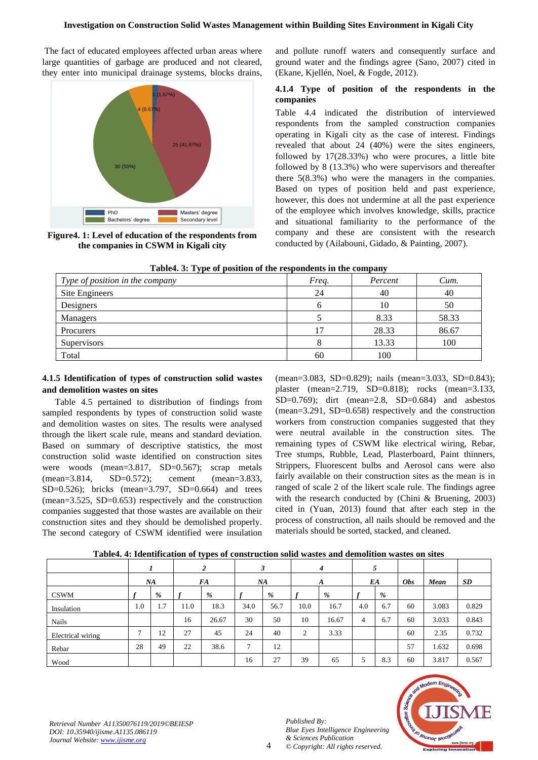## **Investigation on Construction Solid Wastes Management within Building Sites Environment in Kigali City**

The fact of educated employees affected urban areas where large quantities of garbage are produced and not cleared, they enter into municipal drainage systems, blocks drains,



**Figure4. 1: Level of education of the respondents from the companies in CSWM in Kigali city**

and pollute runoff waters and consequently surface and ground water and the findings agree [\(Sano, 2007\)](#page-9-8) cited in [\(Ekane, Kjellén, Noel, & Fogde, 2012\)](#page-8-5).

## **4.1.4 Type of position of the respondents in the companies**

Table 4.4 indicated the distribution of interviewed respondents from the sampled construction companies operating in Kigali city as the case of interest. Findings revealed that about 24 (40%) were the sites engineers, followed by 17(28.33%) who were procures, a little bite followed by 8 (13.3%) who were supervisors and thereafter there 5(8.3%) who were the managers in the companies. Based on types of position held and past experience, however, this does not undermine at all the past experience of the employee which involves knowledge, skills, practice and situational familiarity to the performance of the company and these are consistent with the research conducted by [\(Ailabouni, Gidado, & Painting, 2007\)](#page-8-6).

|  |  |  |  |  | Table4. 3: Type of position of the respondents in the company |
|--|--|--|--|--|---------------------------------------------------------------|
|--|--|--|--|--|---------------------------------------------------------------|

| Type of position in the company | Freq. | Percent | Cum.  |
|---------------------------------|-------|---------|-------|
| Site Engineers                  | 24    | 40      | 40    |
| Designers                       | h     | 10      | 50    |
| Managers                        |       | 8.33    | 58.33 |
| Procurers                       | 17    | 28.33   | 86.67 |
| Supervisors                     | 8     | 13.33   | 100   |
| Total                           | 60    | 100     |       |

## **4.1.5 Identification of types of construction solid wastes and demolition wastes on sites**

Table 4.5 pertained to distribution of findings from sampled respondents by types of construction solid waste and demolition wastes on sites. The results were analysed through the likert scale rule, means and standard deviation. Based on summary of descriptive statistics, the most construction solid waste identified on construction sites were woods (mean=3.817, SD=0.567); scrap metals (mean=3.814, SD=0.572); cement (mean=3.833, SD=0.526); bricks (mean=3.797, SD=0.664) and trees (mean=3.525, SD=0.653) respectively and the construction companies suggested that those wastes are available on their construction sites and they should be demolished properly. The second category of CSWM identified were insulation

(mean=3.083, SD=0.829); nails (mean=3.033, SD=0.843); plaster (mean=2.719, SD=0.818); rocks (mean=3.133, SD=0.769); dirt (mean=2.8, SD=0.684) and asbestos (mean=3.291, SD=0.658) respectively and the construction workers from construction companies suggested that they were neutral available in the construction sites. The remaining types of CSWM like electrical wiring, Rebar, Tree stumps, Rubble, Lead, Plasterboard, Paint thinners, Strippers, Fluorescent bulbs and Aerosol cans were also fairly available on their construction sites as the mean is in ranged of scale 2 of the likert scale rule. The findings agree with the research conducted by [\(Chini & Bruening, 2003\)](#page-8-7) cited in [\(Yuan, 2013\)](#page-9-9) found that after each step in the process of construction, all nails should be removed and the materials should be sorted, stacked, and cleaned.

|                   | THOICH II INCHRITICHNON OF CHOO OF COMMUNICATION SOME WHOICS HIM GUINGHOLD WHOICS ON SINGS |     |      |       |      |      |      |       |     |     |            |       |       |
|-------------------|--------------------------------------------------------------------------------------------|-----|------|-------|------|------|------|-------|-----|-----|------------|-------|-------|
|                   |                                                                                            |     |      | 2     | 3    |      | 4    |       |     |     |            |       |       |
|                   |                                                                                            | NA  |      | FA    |      | NA   |      | A     |     | EA  | <b>Obs</b> | Mean  | SD    |
| <b>CSWM</b>       |                                                                                            | %   |      | $\%$  |      | %    |      | %     |     | %   |            |       |       |
| Insulation        | 1.0                                                                                        | 1.7 | 11.0 | 18.3  | 34.0 | 56.7 | 10.0 | 16.7  | 4.0 | 6.7 | 60         | 3.083 | 0.829 |
| <b>Nails</b>      |                                                                                            |     | 16   | 26.67 | 30   | 50   | 10   | 16.67 | 4   | 6.7 | 60         | 3.033 | 0.843 |
| Electrical wiring | π                                                                                          | 12  | 27   | 45    | 24   | 40   | 2    | 3.33  |     |     | 60         | 2.35  | 0.732 |
| Rebar             | 28                                                                                         | 49  | 22   | 38.6  | 7    | 12   |      |       |     |     | 57         | 1.632 | 0.698 |
| Wood              |                                                                                            |     |      |       | 16   | 27   | 39   | 65    |     | 8.3 | 60         | 3.817 | 0.567 |

**Table4. 4: Identification of types of construction solid wastes and demolition wastes on sites**

*Retrieval Number A11350076119/2019©BEIESP DOI: 10.35940/ijisme.A1135.086119 Journal Website[: www.ijisme.org](http://www.ijisme.org/)*

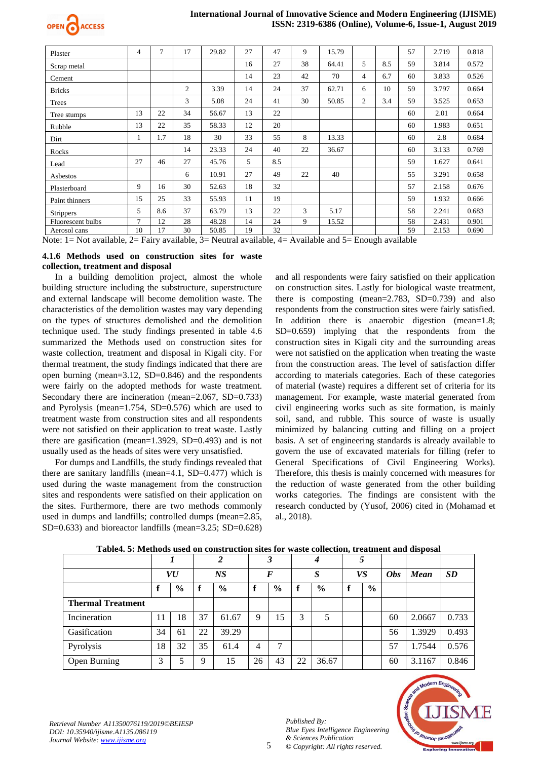

#### **International Journal of Innovative Science and Modern Engineering (IJISME) ISSN: 2319-6386 (Online), Volume-6, Issue-1, August 2019**

| Plaster           | 4             | 7   | 17             | 29.82 | 27 | 47  | 9  | 15.79 |                |     | 57 | 2.719 | 0.818 |
|-------------------|---------------|-----|----------------|-------|----|-----|----|-------|----------------|-----|----|-------|-------|
| Scrap metal       |               |     |                |       | 16 | 27  | 38 | 64.41 | 5              | 8.5 | 59 | 3.814 | 0.572 |
| Cement            |               |     |                |       | 14 | 23  | 42 | 70    | $\overline{4}$ | 6.7 | 60 | 3.833 | 0.526 |
| <b>Bricks</b>     |               |     | $\overline{c}$ | 3.39  | 14 | 24  | 37 | 62.71 | 6              | 10  | 59 | 3.797 | 0.664 |
| Trees             |               |     | 3              | 5.08  | 24 | 41  | 30 | 50.85 | 2              | 3.4 | 59 | 3.525 | 0.653 |
| Tree stumps       | 13            | 22  | 34             | 56.67 | 13 | 22  |    |       |                |     | 60 | 2.01  | 0.664 |
| Rubble            | 13            | 22  | 35             | 58.33 | 12 | 20  |    |       |                |     | 60 | 1.983 | 0.651 |
| Dirt              |               | 1.7 | 18             | 30    | 33 | 55  | 8  | 13.33 |                |     | 60 | 2.8   | 0.684 |
| Rocks             |               |     | 14             | 23.33 | 24 | 40  | 22 | 36.67 |                |     | 60 | 3.133 | 0.769 |
| Lead              | 27            | 46  | 27             | 45.76 | 5  | 8.5 |    |       |                |     | 59 | 1.627 | 0.641 |
| Asbestos          |               |     | 6              | 10.91 | 27 | 49  | 22 | 40    |                |     | 55 | 3.291 | 0.658 |
| Plasterboard      | 9             | 16  | 30             | 52.63 | 18 | 32  |    |       |                |     | 57 | 2.158 | 0.676 |
| Paint thinners    | 15            | 25  | 33             | 55.93 | 11 | 19  |    |       |                |     | 59 | 1.932 | 0.666 |
| <b>Strippers</b>  | 5             | 8.6 | 37             | 63.79 | 13 | 22  | 3  | 5.17  |                |     | 58 | 2.241 | 0.683 |
| Fluorescent bulbs | $\mathcal{I}$ | 12  | 28             | 48.28 | 14 | 24  | 9  | 15.52 |                |     | 58 | 2.431 | 0.901 |
| Aerosol cans      | 10            | 17  | 30             | 50.85 | 19 | 32  |    |       |                |     | 59 | 2.153 | 0.690 |

Note: 1= Not available, 2= Fairy available, 3= Neutral available, 4= Available and 5= Enough available

#### **4.1.6 Methods used on construction sites for waste collection, treatment and disposal**

In a building demolition project, almost the whole building structure including the substructure, superstructure and external landscape will become demolition waste. The characteristics of the demolition wastes may vary depending on the types of structures demolished and the demolition technique used. The study findings presented in table 4.6 summarized the Methods used on construction sites for waste collection, treatment and disposal in Kigali city. For thermal treatment, the study findings indicated that there are open burning (mean=3.12, SD=0.846) and the respondents were fairly on the adopted methods for waste treatment. Secondary there are incineration (mean=2.067, SD=0.733) and Pyrolysis (mean=1.754, SD=0.576) which are used to treatment waste from construction sites and all respondents were not satisfied on their application to treat waste. Lastly there are gasification (mean=1.3929, SD=0.493) and is not usually used as the heads of sites were very unsatisfied.

For dumps and Landfills, the study findings revealed that there are sanitary landfills (mean=4.1,  $SD=0.477$ ) which is used during the waste management from the construction sites and respondents were satisfied on their application on the sites. Furthermore, there are two methods commonly used in dumps and landfills; controlled dumps (mean=2.85, SD=0.633) and bioreactor landfills (mean=3.25; SD=0.628)

and all respondents were fairy satisfied on their application on construction sites. Lastly for biological waste treatment, there is composting (mean=2.783, SD=0.739) and also respondents from the construction sites were fairly satisfied. In addition there is anaerobic digestion (mean=1.8; SD=0.659) implying that the respondents from the construction sites in Kigali city and the surrounding areas were not satisfied on the application when treating the waste from the construction areas. The level of satisfaction differ according to materials categories. Each of these categories of material (waste) requires a different set of criteria for its management. For example, waste material generated from civil engineering works such as site formation, is mainly soil, sand, and rubble. This source of waste is usually minimized by balancing cutting and filling on a project basis. A set of engineering standards is already available to govern the use of excavated materials for filling (refer to General Specifications of Civil Engineering Works). Therefore, this thesis is mainly concerned with measures for the reduction of waste generated from the other building works categories. The findings are consistent with the research conducted by [\(Yusof, 2006\)](#page-9-10) cited in [\(Mohamad et](#page-8-8)  [al., 2018\)](#page-8-8).

|                          |    |               |    | $\overline{c}$ |    | 3    |                  | 4             | 5  |      |            |        |           |
|--------------------------|----|---------------|----|----------------|----|------|------------------|---------------|----|------|------------|--------|-----------|
|                          | VU |               | NS |                | F  |      | $\boldsymbol{S}$ |               | VS |      | <b>Obs</b> | Mean   | <b>SD</b> |
|                          |    | $\frac{6}{6}$ | f  | $\frac{0}{0}$  | f  | $\%$ |                  | $\frac{0}{0}$ | ₽  | $\%$ |            |        |           |
| <b>Thermal Treatment</b> |    |               |    |                |    |      |                  |               |    |      |            |        |           |
| Incineration             | 11 | 18            | 37 | 61.67          | 9  | 15   | 3                | 5             |    |      | 60         | 2.0667 | 0.733     |
| Gasification             | 34 | 61            | 22 | 39.29          |    |      |                  |               |    |      | 56         | 1.3929 | 0.493     |
| Pyrolysis                | 18 | 32            | 35 | 61.4           | 4  | 7    |                  |               |    |      | 57         | 1.7544 | 0.576     |
| Open Burning             | 3  |               | 9  | 15             | 26 | 43   | 22               | 36.67         |    |      | 60         | 3.1167 | 0.846     |

5

#### **Table4. 5: Methods used on construction sites for waste collection, treatment and disposal**

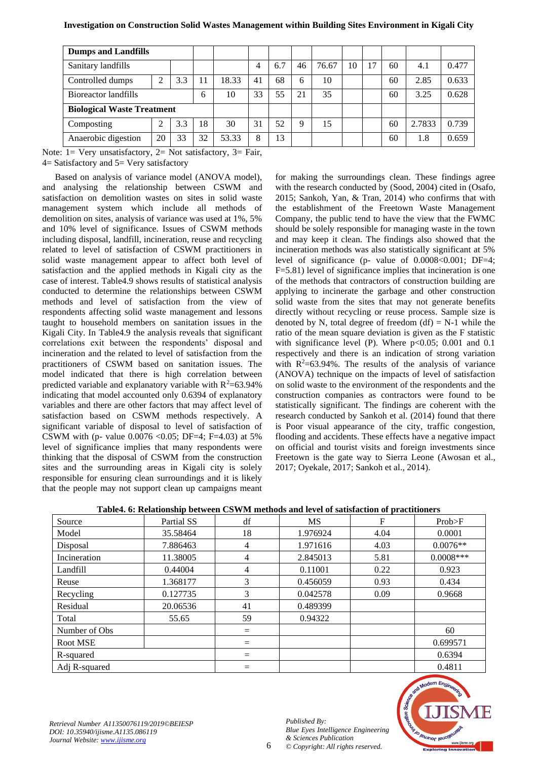## **Investigation on Construction Solid Wastes Management within Building Sites Environment in Kigali City**

| <b>Dumps and Landfills</b>        |    |     |    |       |    |     |    |       |    |    |    |        |       |
|-----------------------------------|----|-----|----|-------|----|-----|----|-------|----|----|----|--------|-------|
| Sanitary landfills                |    |     |    |       | 4  | 6.7 | 46 | 76.67 | 10 | 17 | 60 | 4.1    | 0.477 |
| Controlled dumps                  |    | 3.3 | 11 | 18.33 | 41 | 68  | 6  | 10    |    |    | 60 | 2.85   | 0.633 |
| Bioreactor landfills<br>6         |    |     |    | 10    | 33 | 55  | 21 | 35    |    |    | 60 | 3.25   | 0.628 |
| <b>Biological Waste Treatment</b> |    |     |    |       |    |     |    |       |    |    |    |        |       |
| Composting                        |    | 3.3 | 18 | 30    | 31 | 52  | Q  | 15    |    |    | 60 | 2.7833 | 0.739 |
| Anaerobic digestion               | 20 | 33  | 32 | 53.33 | 8  | 13  |    |       |    |    | 60 | 1.8    | 0.659 |

Note: 1= Very unsatisfactory, 2= Not satisfactory, 3= Fair, 4= Satisfactory and 5= Very satisfactory

Based on analysis of variance model (ANOVA model), and analysing the relationship between CSWM and satisfaction on demolition wastes on sites in solid waste management system which include all methods of demolition on sites, analysis of variance was used at 1%, 5% and 10% level of significance. Issues of CSWM methods including disposal, landfill, incineration, reuse and recycling related to level of satisfaction of CSWM practitioners in solid waste management appear to affect both level of satisfaction and the applied methods in Kigali city as the case of interest. Table4.9 shows results of statistical analysis conducted to determine the relationships between CSWM methods and level of satisfaction from the view of respondents affecting solid waste management and lessons taught to household members on sanitation issues in the Kigali City. In Table4.9 the analysis reveals that significant correlations exit between the respondents' disposal and incineration and the related to level of satisfaction from the practitioners of CSWM based on sanitation issues. The model indicated that there is high correlation between predicted variable and explanatory variable with  $R^2 = 63.94\%$ indicating that model accounted only 0.6394 of explanatory variables and there are other factors that may affect level of satisfaction based on CSWM methods respectively. A significant variable of disposal to level of satisfaction of CSWM with (p- value  $0.0076 \le 0.05$ ; DF=4; F=4.03) at 5% level of significance implies that many respondents were thinking that the disposal of CSWM from the construction sites and the surrounding areas in Kigali city is solely responsible for ensuring clean surroundings and it is likely that the people may not support clean up campaigns meant

for making the surroundings clean. These findings agree with the research conducted by [\(Sood, 2004\)](#page-9-11) cited in [\(Osafo,](#page-9-12)  [2015;](#page-9-12) [Sankoh, Yan, & Tran, 2014\)](#page-9-13) who confirms that with the establishment of the Freetown Waste Management Company, the public tend to have the view that the FWMC should be solely responsible for managing waste in the town and may keep it clean. The findings also showed that the incineration methods was also statistically significant at 5% level of significance (p- value of 0.0008<0.001; DF=4; F=5.81) level of significance implies that incineration is one of the methods that contractors of construction building are applying to incinerate the garbage and other construction solid waste from the sites that may not generate benefits directly without recycling or reuse process. Sample size is denoted by N, total degree of freedom  $(df) = N-1$  while the ratio of the mean square deviation is given as the F statistic with significance level (P). Where  $p<0.05$ ; 0.001 and 0.1 respectively and there is an indication of strong variation with  $R^2 = 63.94\%$ . The results of the analysis of variance (ANOVA) technique on the impacts of level of satisfaction on solid waste to the environment of the respondents and the construction companies as contractors were found to be statistically significant. The findings are coherent with the research conducted by [Sankoh et al. \(2014\)](#page-9-13) found that there is Poor visual appearance of the city, traffic congestion, flooding and accidents. These effects have a negative impact on official and tourist visits and foreign investments since Freetown is the gate way to Sierra Leone [\(Awosan et al.,](#page-8-9)  [2017;](#page-8-9) [Oyekale, 2017;](#page-9-14) [Sankoh et al., 2014\)](#page-9-13).

| Source        | Partial SS | df  | <b>MS</b> | F    | Prob>F      |
|---------------|------------|-----|-----------|------|-------------|
| Model         | 35.58464   | 18  | 1.976924  | 4.04 | 0.0001      |
| Disposal      | 7.886463   | 4   | 1.971616  | 4.03 | $0.0076**$  |
| Incineration  | 11.38005   | 4   | 2.845013  | 5.81 | $0.0008***$ |
| Landfill      | 0.44004    | 4   | 0.11001   | 0.22 | 0.923       |
| Reuse         | 1.368177   | 3   | 0.456059  | 0.93 | 0.434       |
| Recycling     | 0.127735   | 3   | 0.042578  | 0.09 | 0.9668      |
| Residual      | 20.06536   | 41  | 0.489399  |      |             |
| Total         | 55.65      | 59  | 0.94322   |      |             |
| Number of Obs |            | $=$ |           |      | 60          |
| Root MSE      |            | $=$ |           |      | 0.699571    |
| R-squared     |            | $=$ |           |      | 0.6394      |
| Adj R-squared |            | $=$ |           |      | 0.4811      |

| Table4. 6: Relationship between CSWM methods and level of satisfaction of practitioners |  |
|-----------------------------------------------------------------------------------------|--|
|-----------------------------------------------------------------------------------------|--|

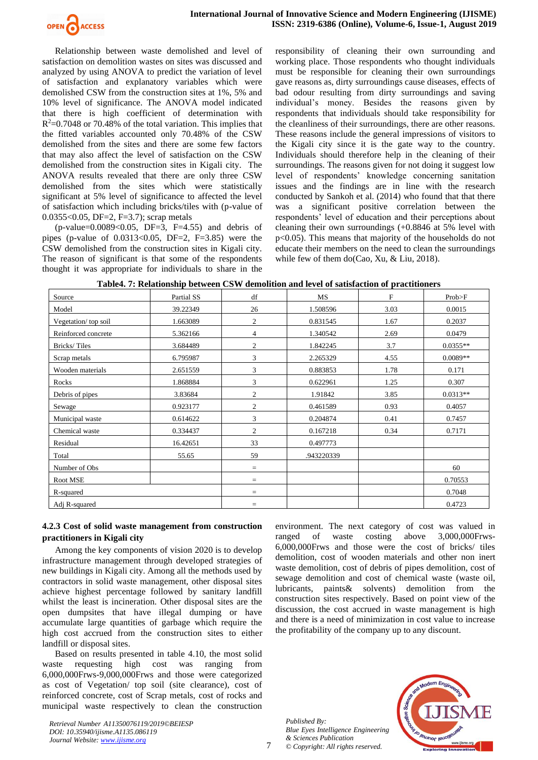

Relationship between waste demolished and level of satisfaction on demolition wastes on sites was discussed and analyzed by using ANOVA to predict the variation of level of satisfaction and explanatory variables which were demolished CSW from the construction sites at 1%, 5% and 10% level of significance. The ANOVA model indicated that there is high coefficient of determination with  $R<sup>2</sup>=0.7048$  or 70.48% of the total variation. This implies that the fitted variables accounted only 70.48% of the CSW demolished from the sites and there are some few factors that may also affect the level of satisfaction on the CSW demolished from the construction sites in Kigali city. The ANOVA results revealed that there are only three CSW demolished from the sites which were statistically significant at 5% level of significance to affected the level of satisfaction which including bricks/tiles with (p-value of 0.0355<0.05, DF=2, F=3.7); scrap metals

 $(p$ -value=0.0089<0.05, DF=3, F=4.55) and debris of pipes (p-value of  $0.0313 \le 0.05$ , DF=2, F=3.85) were the CSW demolished from the construction sites in Kigali city. The reason of significant is that some of the respondents thought it was appropriate for individuals to share in the responsibility of cleaning their own surrounding and working place. Those respondents who thought individuals must be responsible for cleaning their own surroundings gave reasons as, dirty surroundings cause diseases, effects of bad odour resulting from dirty surroundings and saving individual's money. Besides the reasons given by respondents that individuals should take responsibility for the cleanliness of their surroundings, there are other reasons. These reasons include the general impressions of visitors to the Kigali city since it is the gate way to the country. Individuals should therefore help in the cleaning of their surroundings. The reasons given for not doing it suggest low level of respondents' knowledge concerning sanitation issues and the findings are in line with the research conducted by [Sankoh et al. \(2014\)](#page-9-13) who found that that there was a significant positive correlation between the respondents' level of education and their perceptions about cleaning their own surroundings (+0.8846 at 5% level with p<0.05). This means that majority of the households do not educate their members on the need to clean the surroundings while few of them do[\(Cao, Xu, & Liu, 2018\)](#page-8-10).

| Source              | Partial SS | df             | MS         | $\mathbf F$ | Prob>F     |
|---------------------|------------|----------------|------------|-------------|------------|
| Model               | 39.22349   | 26             | 1.508596   | 3.03        | 0.0015     |
| Vegetation/top soil | 1.663089   | $\overline{2}$ | 0.831545   | 1.67        | 0.2037     |
| Reinforced concrete | 5.362166   | 4              | 1.340542   | 2.69        | 0.0479     |
| Bricks/Tiles        | 3.684489   | $\mathfrak{2}$ | 1.842245   | 3.7         | $0.0355**$ |
| Scrap metals        | 6.795987   | 3              | 2.265329   | 4.55        | $0.0089**$ |
| Wooden materials    | 2.651559   | 3              | 0.883853   | 1.78        | 0.171      |
| Rocks               | 1.868884   | 3              | 0.622961   | 1.25        | 0.307      |
| Debris of pipes     | 3.83684    | $\overline{2}$ | 1.91842    | 3.85        | $0.0313**$ |
| Sewage              | 0.923177   | $\overline{2}$ | 0.461589   | 0.93        | 0.4057     |
| Municipal waste     | 0.614622   | 3              | 0.204874   | 0.41        | 0.7457     |
| Chemical waste      | 0.334437   | $\overline{c}$ | 0.167218   | 0.34        | 0.7171     |
| Residual            | 16.42651   | 33             | 0.497773   |             |            |
| Total               | 55.65      | 59             | .943220339 |             |            |
| Number of Obs       |            | $=$            |            |             | 60         |
| Root MSE            |            | $=$            |            |             | 0.70553    |
| R-squared           |            | $=$            |            |             | 0.7048     |
| Adj R-squared       |            | $=$            |            |             | 0.4723     |

## **4.2.3 Cost of solid waste management from construction practitioners in Kigali city**

Among the key components of vision 2020 is to develop infrastructure management through developed strategies of new buildings in Kigali city. Among all the methods used by contractors in solid waste management, other disposal sites achieve highest percentage followed by sanitary landfill whilst the least is incineration. Other disposal sites are the open dumpsites that have illegal dumping or have accumulate large quantities of garbage which require the high cost accrued from the construction sites to either landfill or disposal sites.

Based on results presented in table 4.10, the most solid waste requesting high cost was ranging from 6,000,000Frws-9,000,000Frws and those were categorized as cost of Vegetation/ top soil (site clearance), cost of reinforced concrete, cost of Scrap metals, cost of rocks and municipal waste respectively to clean the construction

*Retrieval Number A11350076119/2019©BEIESP DOI: 10.35940/ijisme.A1135.086119 Journal Website[: www.ijisme.org](http://www.ijisme.org/)*

environment. The next category of cost was valued in ranged of waste costing above 3,000,000Frws-6,000,000Frws and those were the cost of bricks/ tiles demolition, cost of wooden materials and other non inert waste demolition, cost of debris of pipes demolition, cost of sewage demolition and cost of chemical waste (waste oil, lubricants, paints& solvents) demolition from the construction sites respectively. Based on point view of the discussion, the cost accrued in waste management is high and there is a need of minimization in cost value to increase the profitability of the company up to any discount.

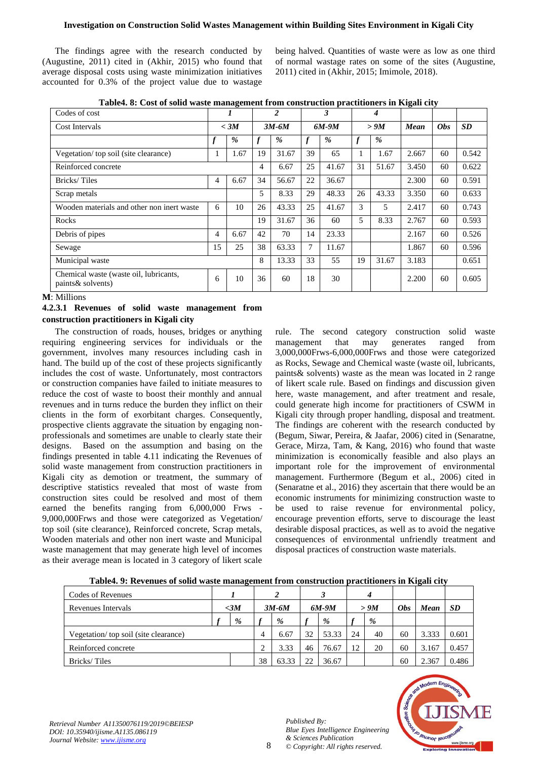The findings agree with the research conducted by [\(Augustine, 2011\)](#page-8-11) cited in [\(Akhir, 2015\)](#page-8-12) who found that average disposal costs using waste minimization initiatives accounted for 0.3% of the project value due to wastage being halved. Quantities of waste were as low as one third of normal wastage rates on some of the sites [\(Augustine,](#page-8-11)  [2011\)](#page-8-11) cited in [\(Akhir, 2015;](#page-8-12) [Imimole, 2018\)](#page-8-13).

| Codes of cost                                                | 1      |      | 2       |               | 3                |       | 4                |               |       |            |           |
|--------------------------------------------------------------|--------|------|---------|---------------|------------------|-------|------------------|---------------|-------|------------|-----------|
| Cost Intervals                                               | $<$ 3M |      | $3M-6M$ |               | $6M-9M$          |       | > 9M             |               | Mean  | <b>Obs</b> | <b>SD</b> |
|                                                              |        | $\%$ |         | $\frac{9}{6}$ | $\boldsymbol{f}$ | %     | $\boldsymbol{f}$ | $\frac{9}{6}$ |       |            |           |
| Vegetation/top soil (site clearance)                         | 1      | 1.67 | 19      | 31.67         | 39               | 65    |                  | 1.67          | 2.667 | 60         | 0.542     |
| Reinforced concrete                                          |        |      | 4       | 6.67          | 25               | 41.67 | 31               | 51.67         | 3.450 | 60         | 0.622     |
| Bricks/Tiles                                                 | 4      | 6.67 | 34      | 56.67         | 22               | 36.67 |                  |               | 2.300 | 60         | 0.591     |
| Scrap metals                                                 |        |      | 5       | 8.33          | 29               | 48.33 | 26               | 43.33         | 3.350 | 60         | 0.633     |
| Wooden materials and other non inert waste                   | 6      | 10   | 26      | 43.33         | 25               | 41.67 | 3                | 5             | 2.417 | 60         | 0.743     |
| Rocks                                                        |        |      | 19      | 31.67         | 36               | 60    | 5                | 8.33          | 2.767 | 60         | 0.593     |
| Debris of pipes                                              | 4      | 6.67 | 42      | 70            | 14               | 23.33 |                  |               | 2.167 | 60         | 0.526     |
| Sewage                                                       | 15     | 25   | 38      | 63.33         | 7                | 11.67 |                  |               | 1.867 | 60         | 0.596     |
| Municipal waste                                              |        |      | 8       | 13.33         | 33               | 55    | 19               | 31.67         | 3.183 |            | 0.651     |
| Chemical waste (waste oil, lubricants,<br>paints & solvents) | 6      | 10   | 36      | 60            | 18               | 30    |                  |               | 2.200 | 60         | 0.605     |

**Table4. 8: Cost of solid waste management from construction practitioners in Kigali city**

**M**: Millions

**4.2.3.1 Revenues of solid waste management from construction practitioners in Kigali city**

The construction of roads, houses, bridges or anything requiring engineering services for individuals or the government, involves many resources including cash in hand. The build up of the cost of these projects significantly includes the cost of waste. Unfortunately, most contractors or construction companies have failed to initiate measures to reduce the cost of waste to boost their monthly and annual revenues and in turns reduce the burden they inflict on their clients in the form of exorbitant charges. Consequently, prospective clients aggravate the situation by engaging nonprofessionals and sometimes are unable to clearly state their designs. Based on the assumption and basing on the findings presented in table 4.11 indicating the Revenues of solid waste management from construction practitioners in Kigali city as demotion or treatment, the summary of descriptive statistics revealed that most of waste from construction sites could be resolved and most of them earned the benefits ranging from 6,000,000 Frws - 9,000,000Frws and those were categorized as Vegetation/ top soil (site clearance), Reinforced concrete, Scrap metals, Wooden materials and other non inert waste and Municipal waste management that may generate high level of incomes as their average mean is located in 3 category of likert scale rule. The second category construction solid waste management that may generates ranged from 3,000,000Frws-6,000,000Frws and those were categorized as Rocks, Sewage and Chemical waste (waste oil, lubricants, paints& solvents) waste as the mean was located in 2 range of likert scale rule. Based on findings and discussion given here, waste management, and after treatment and resale, could generate high income for practitioners of CSWM in Kigali city through proper handling, disposal and treatment. The findings are coherent with the research conducted by [\(Begum, Siwar, Pereira, & Jaafar, 2006\)](#page-8-14) cited in [\(Senaratne,](#page-9-15)  [Gerace, Mirza, Tam, & Kang, 2016\)](#page-9-15) who found that waste minimization is economically feasible and also plays an important role for the improvement of environmental management. Furthermore [\(Begum et al., 2006\)](#page-8-14) cited in [\(Senaratne et al., 2016\)](#page-9-15) they ascertain that there would be an economic instruments for minimizing construction waste to be used to raise revenue for environmental policy, encourage prevention efforts, serve to discourage the least desirable disposal practices, as well as to avoid the negative consequences of environmental unfriendly treatment and disposal practices of construction waste materials.

| <u>xway ii a xiv chines of some whore mumingement if om combit wellon preceditiones in raigum eng</u> |     |   |         |       |               |       |      |    |            |       |       |
|-------------------------------------------------------------------------------------------------------|-----|---|---------|-------|---------------|-------|------|----|------------|-------|-------|
| Codes of Revenues                                                                                     |     |   |         |       |               |       |      |    |            |       |       |
| Revenues Intervals                                                                                    | <3M |   | $3M-6M$ |       | 6M-9M         |       | > 9M |    | <b>Obs</b> | Mean  | SD    |
|                                                                                                       |     | % |         | %     |               | %     |      | %  |            |       |       |
| Vegetation/top soil (site clearance)                                                                  |     |   | 4       | 6.67  | 32            | 53.33 | 24   | 40 | 60         | 3.333 | 0.601 |
| Reinforced concrete                                                                                   |     |   | 2       | 3.33  | 46            | 76.67 | 12   | 20 | 60         | 3.167 | 0.457 |
| Bricks/Tiles                                                                                          |     |   | 38      | 63.33 | $\mathcal{D}$ | 36.67 |      |    | 60         | 2.367 | 0.486 |

**Table4. 9: Revenues of solid waste management from construction practitioners in Kigali city**



*Retrieval Number A11350076119/2019©BEIESP DOI: 10.35940/ijisme.A1135.086119 Journal Website[: www.ijisme.org](http://www.ijisme.org/)*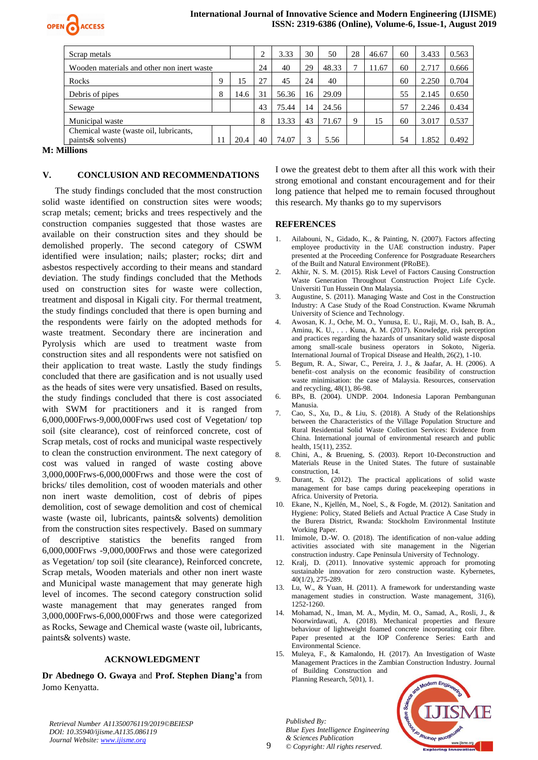

## **International Journal of Innovative Science and Modern Engineering (IJISME) ISSN: 2319-6386 (Online), Volume-6, Issue-1, August 2019**

| Scrap metals                               |    | ◠    | 3.33  | 30    | 50    | 28    | 46.67 | 60 | 3.433 | 0.563 |       |
|--------------------------------------------|----|------|-------|-------|-------|-------|-------|----|-------|-------|-------|
| Wooden materials and other non inert waste |    | 24   | 40    | 29    | 48.33 |       | 11.67 | 60 | 2.717 | 0.666 |       |
| Rocks                                      | Q  | . 5  | 27    | 45    | 24    | 40    |       |    | 60    | 2.250 | 0.704 |
| Debris of pipes                            | 8  | 14.6 | 31    | 56.36 | 16    | 29.09 |       |    | 55    | 2.145 | 0.650 |
| Sewage                                     |    |      | 43    | 75.44 | 14    | 24.56 |       |    | 57    | 2.246 | 0.434 |
| Municipal waste                            |    | 8    | 13.33 | 43    | 71.67 |       | 15    | 60 | 3.017 | 0.537 |       |
| Chemical waste (waste oil, lubricants,     |    |      |       |       |       |       |       |    |       |       |       |
| paints & solvents)                         | 11 | 20.4 | 40    | 74.07 |       | 5.56  |       |    | 54    | 1.852 | 0.492 |

**M: Millions**

#### **V. CONCLUSION AND RECOMMENDATIONS**

The study findings concluded that the most construction solid waste identified on construction sites were woods; scrap metals; cement; bricks and trees respectively and the construction companies suggested that those wastes are available on their construction sites and they should be demolished properly. The second category of CSWM identified were insulation; nails; plaster; rocks; dirt and asbestos respectively according to their means and standard deviation. The study findings concluded that the Methods used on construction sites for waste were collection, treatment and disposal in Kigali city. For thermal treatment, the study findings concluded that there is open burning and the respondents were fairly on the adopted methods for waste treatment. Secondary there are incineration and Pyrolysis which are used to treatment waste from construction sites and all respondents were not satisfied on their application to treat waste. Lastly the study findings concluded that there are gasification and is not usually used as the heads of sites were very unsatisfied. Based on results, the study findings concluded that there is cost associated with SWM for practitioners and it is ranged from 6,000,000Frws-9,000,000Frws used cost of Vegetation/ top soil (site clearance), cost of reinforced concrete, cost of Scrap metals, cost of rocks and municipal waste respectively to clean the construction environment. The next category of cost was valued in ranged of waste costing above 3,000,000Frws-6,000,000Frws and those were the cost of bricks/ tiles demolition, cost of wooden materials and other non inert waste demolition, cost of debris of pipes demolition, cost of sewage demolition and cost of chemical waste (waste oil, lubricants, paints& solvents) demolition from the construction sites respectively. Based on summary of descriptive statistics the benefits ranged from 6,000,000Frws -9,000,000Frws and those were categorized as Vegetation/ top soil (site clearance), Reinforced concrete, Scrap metals, Wooden materials and other non inert waste and Municipal waste management that may generate high level of incomes. The second category construction solid waste management that may generates ranged from 3,000,000Frws-6,000,000Frws and those were categorized as Rocks, Sewage and Chemical waste (waste oil, lubricants, paints& solvents) waste.

#### **ACKNOWLEDGMENT**

**Dr Abednego O. Gwaya** and **Prof. Stephen Diang'a** from Jomo Kenyatta.

I owe the greatest debt to them after all this work with their strong emotional and constant encouragement and for their long patience that helped me to remain focused throughout this research. My thanks go to my supervisors

#### **REFERENCES**

- <span id="page-8-6"></span>1. Ailabouni, N., Gidado, K., & Painting, N. (2007). Factors affecting employee productivity in the UAE construction industry. Paper presented at the Proceeding Conference for Postgraduate Researchers of the Built and Natural Environment (PRoBE).
- <span id="page-8-12"></span>2. Akhir, N. S. M. (2015). Risk Level of Factors Causing Construction Waste Generation Throughout Construction Project Life Cycle. Universiti Tun Hussein Onn Malaysia.
- <span id="page-8-11"></span>3. Augustine, S. (2011). Managing Waste and Cost in the Construction Industry: A Case Study of the Road Construction. Kwame Nkrumah University of Science and Technology.
- <span id="page-8-9"></span>4. Awosan, K. J., Oche, M. O., Yunusa, E. U., Raji, M. O., Isah, B. A., Aminu, K. U., . . . Kuna, A. M. (2017). Knowledge, risk perception and practices regarding the hazards of unsanitary solid waste disposal among small-scale business operators in Sokoto, Nigeria. International Journal of Tropical Disease and Health, 26(2), 1-10.
- <span id="page-8-14"></span>5. Begum, R. A., Siwar, C., Pereira, J. J., & Jaafar, A. H. (2006). A benefit–cost analysis on the economic feasibility of construction waste minimisation: the case of Malaysia. Resources, conservation and recycling, 48(1), 86-98.
- <span id="page-8-0"></span>6. BPs, B. (2004). UNDP. 2004. Indonesia Laporan Pembangunan Manusia.
- <span id="page-8-10"></span>7. Cao, S., Xu, D., & Liu, S. (2018). A Study of the Relationships between the Characteristics of the Village Population Structure and Rural Residential Solid Waste Collection Services: Evidence from China. International journal of environmental research and public health, 15(11), 2352.
- <span id="page-8-7"></span>8. Chini, A., & Bruening, S. (2003). Report 10-Deconstruction and Materials Reuse in the United States. The future of sustainable construction, 14.
- <span id="page-8-4"></span>9. Durant, S. (2012). The practical applications of solid waste management for base camps during peacekeeping operations in Africa. University of Pretoria.
- <span id="page-8-5"></span>10. Ekane, N., Kjellén, M., Noel, S., & Fogde, M. (2012). Sanitation and Hygiene: Policy, Stated Beliefs and Actual Practice A Case Study in the Burera District, Rwanda: Stockholm Environmental Institute Working Paper.
- <span id="page-8-13"></span>11. Imimole, D.-W. O. (2018). The identification of non-value adding activities associated with site management in the Nigerian construction industry. Cape Peninsula University of Technology.
- <span id="page-8-1"></span>12. Kralj, D. (2011). Innovative systemic approach for promoting sustainable innovation for zero construction waste. Kybernetes, 40(1/2), 275-289.
- <span id="page-8-2"></span>13. Lu, W., & Yuan, H. (2011). A framework for understanding waste management studies in construction. Waste management, 31(6), 1252-1260.
- <span id="page-8-8"></span>14. Mohamad, N., Iman, M. A., Mydin, M. O., Samad, A., Rosli, J., & Noorwirdawati, A. (2018). Mechanical properties and flexure behaviour of lightweight foamed concrete incorporating coir fibre. Paper presented at the IOP Conference Series: Earth and Environmental Science.
- <span id="page-8-3"></span>15. Muleya, F., & Kamalondo, H. (2017). An Investigation of Waste Management Practices in the Zambian Construction Industry. Journal of Building Construction and Planning Research, 5(01), 1.

*Published By: Blue Eyes Intelligence Engineering & Sciences Publication © Copyright: All rights reserved.*